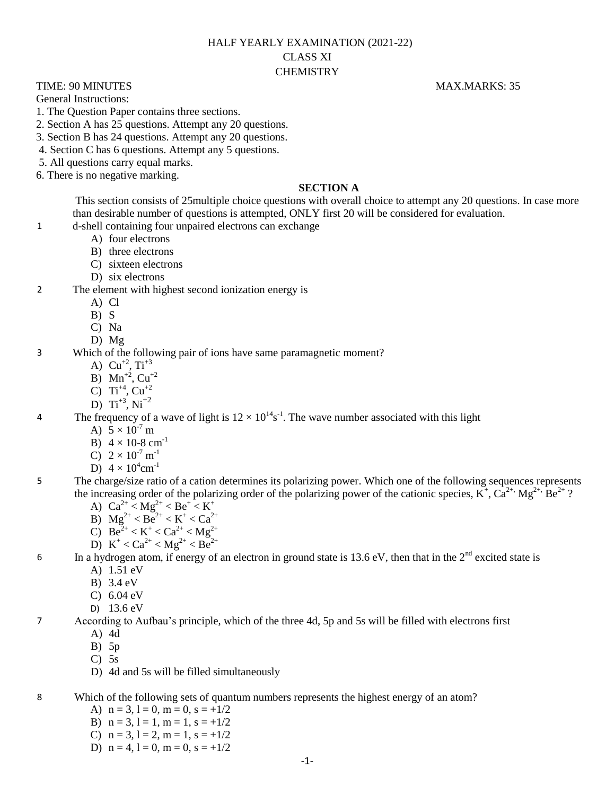# HALF YEARLY EXAMINATION (2021-22) CLASS XI **CHEMISTRY**

TIME: 90 MINUTES MAX.MARKS: 35

General Instructions:

- 1. The Question Paper contains three sections.
- 2. Section A has 25 questions. Attempt any 20 questions.
- 3. Section B has 24 questions. Attempt any 20 questions.
- 4. Section C has 6 questions. Attempt any 5 questions.
- 5. All questions carry equal marks.
- 6. There is no negative marking.

#### **SECTION A**

This section consists of 25multiple choice questions with overall choice to attempt any 20 questions. In case more than desirable number of questions is attempted, ONLY first 20 will be considered for evaluation.

- 1 d-shell containing four unpaired electrons can exchange
	- A) four electrons
	- B) three electrons
	- C) sixteen electrons
	- D) six electrons

#### 2 The element with highest second ionization energy is

- A) Cl
- $B) S$
- C) Na
- D) Mg
- 3 Which of the following pair of ions have same paramagnetic moment?
	- A)  $Cu^{+2}$ ,  $Ti^{+3}$
	- B)  $Mn^{2}$ , Cu<sup>+2</sup>
	- C) Ti<sup>+4</sup>, Cu<sup>+2</sup>
	- D)  $Ti^{+3}$ ,  $Ni^{+2}$

4 The frequency of a wave of light is  $12 \times 10^{14}$ s<sup>-1</sup>. The wave number associated with this light

- A)  $5 \times 10^{-7}$  m
- B)  $4 \times 10^{-8}$  cm<sup>-1</sup>
- C)  $2 \times 10^{-7}$  m<sup>-1</sup>
- D)  $4 \times 10^4$  cm<sup>-1</sup>
- 5 The charge/size ratio of a cation determines its polarizing power. Which one of the following sequences represents the increasing order of the polarizing order of the polarizing power of the cationic species,  $K^+$ ,  $Ca^{2+}$ ,  $Mg^{2+}$ ,  $Be^{2+}$ ?
	- A)  $Ca^{2+} < Mg^{2+} < Be^{+} < K^{+}$
	- B)  $Mg^{2+} < Be^{2+} < K^+ < Ca^{2+}$
	- C)  $Be^{2+} < K^+ < Ca^{2+} < Mg^{2+}$
	- D)  $K^+ < Ca^{2+} < Mg^{2+} < Be^{2+}$

# 6 In a hydrogen atom, if energy of an electron in ground state is 13.6 eV, then that in the  $2<sup>nd</sup>$  excited state is

- A) 1.51 eV
- B) 3.4 eV
- C) 6.04 eV
- D) 13.6 eV

7 According to Aufbau's principle, which of the three 4d, 5p and 5s will be filled with electrons first

- A) 4d
- B) 5p
- $C$ ) 5s
- D) 4d and 5s will be filled simultaneously
- 8 Which of the following sets of quantum numbers represents the highest energy of an atom?
	- A)  $n = 3$ ,  $l = 0$ ,  $m = 0$ ,  $s = +1/2$
	- B)  $n = 3, l = 1, m = 1, s = +1/2$
	- C)  $n = 3$ ,  $l = 2$ ,  $m = 1$ ,  $s = +1/2$
	- D)  $n = 4$ ,  $l = 0$ ,  $m = 0$ ,  $s = +1/2$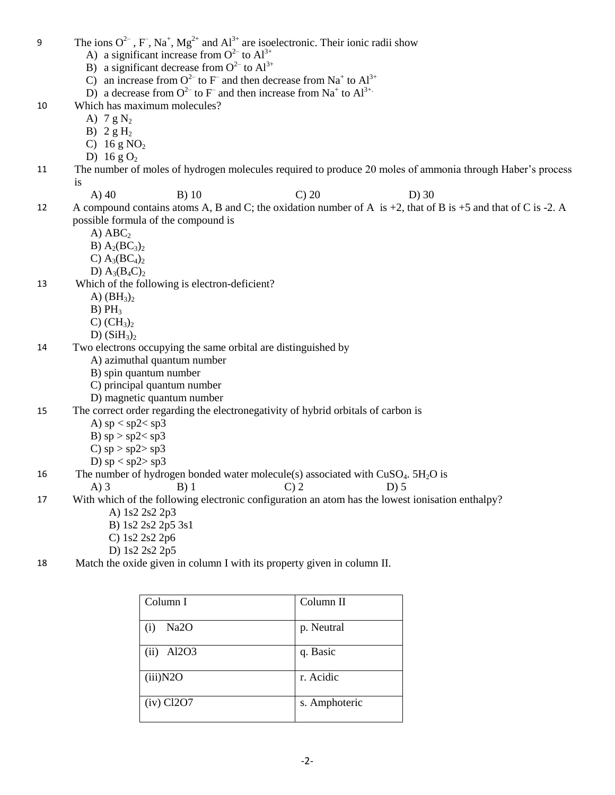- 9 The ions  $O^{2-}$ , F, Na<sup>+</sup>, Mg<sup>2+</sup> and Al<sup>3+</sup> are isoelectronic. Their ionic radii show
	- A) a significant increase from  $O^{2-}$  to  $Al^{3+}$
	- B) a significant decrease from  $O^{2-}$  to  $Al^{3+}$
	- C) an increase from  $O^{2-}$  to F and then decrease from Na<sup>+</sup> to Al<sup>3+</sup>
	- D) a decrease from  $O^{2-}$  to F and then increase from Na<sup>+</sup> to Al<sup>3+.</sup>
- 10 Which has maximum molecules?
	- A)  $7 g N_2$
	- B)  $2 g H_2$
	- C)  $16 g NO<sub>2</sub>$
	- D) 16 g $O_2$
- 11 The number of moles of hydrogen molecules required to produce 20 moles of ammonia through Haber's process is
	-
- 
- A) 40 B) 10 C) 20 D) 30
- 12 A compound contains atoms A, B and C; the oxidation number of A is  $+2$ , that of B is  $+5$  and that of C is  $-2$ . A possible formula of the compound is
	- $A)$   $ABC$
	- B)  $A_2(BC_3)_2$
	- C)  $A_3(BC_4)_2$
	- D)  $A_3(B_4C)_2$
- 13 Which of the following is electron-deficient?
	- A)  $(BH_3)_2$
	- $B) PH<sub>3</sub>$
	- $C)$   $CH<sub>3</sub>$ <sub>2</sub>
	- D)  $(SiH_3)$
- 14 Two electrons occupying the same orbital are distinguished by
	- A) azimuthal quantum number
	- B) spin quantum number
	- C) principal quantum number
	- D) magnetic quantum number

## 15 The correct order regarding the electronegativity of hybrid orbitals of carbon is

- A)  $sp < sp2 < sp3$
- B)  $sp > sp2 < sp3$
- C)  $sp > sp2 > sp3$

D) 
$$
sp < sp2 > sp3
$$

- 16 The number of hydrogen bonded water molecule(s) associated with  $CuSO<sub>4</sub>$ .  $5H<sub>2</sub>O$  is
	- A) 3 B) 1 C) 2 D) 5
- 17 With which of the following electronic configuration an atom has the lowest ionisation enthalpy?
	- A) 1s2 2s2 2p3
	- B) 1s2 2s2 2p5 3s1
	- C) 1s2 2s2 2p6
	- D) 1s2 2s2 2p5
- 18 Match the oxide given in column I with its property given in column II.

| Column I                 | Column II     |
|--------------------------|---------------|
| Na <sub>2</sub> O<br>(i) | p. Neutral    |
| Al2O3<br>(ii)            | q. Basic      |
| (iii)N2O                 | r. Acidic     |
| $(iv)$ Cl2O7             | s. Amphoteric |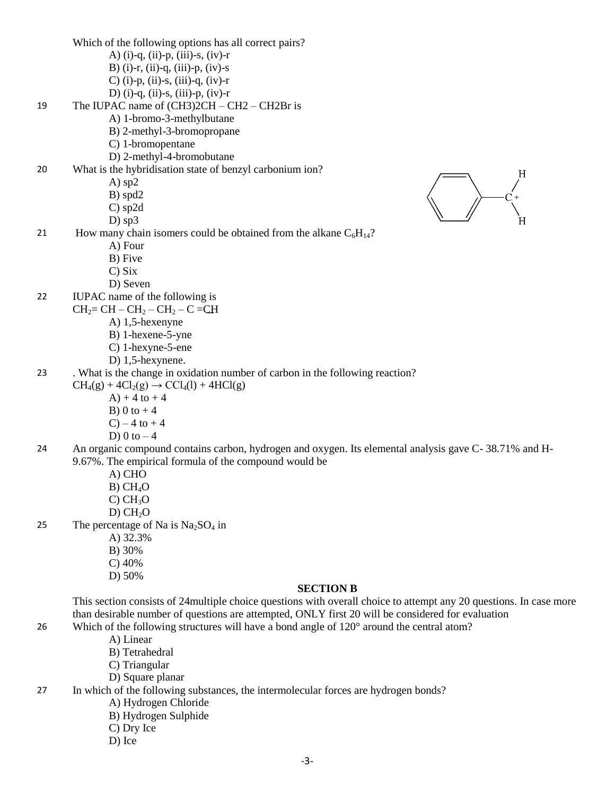Which of the following options has all correct pairs? A) (i)-q, (ii)-p, (iii)-s, (iv)-r B) (i)-r, (ii)-q, (iii)-p, (iv)-s C) (i)-p, (ii)-s, (iii)-q, (iv)-r D) (i)-q, (ii)-s, (iii)-p, (iv)-r 19 The IUPAC name of  $(CH3)2CH - CH2 - CH2Br$  is A) 1-bromo-3-methylbutane B) 2-methyl-3-bromopropane C) 1-bromopentane D) 2-methyl-4-bromobutane 20 What is the hybridisation state of benzyl carbonium ion? A) sp2 B) spd2 C) sp2d D) sp3 21 How many chain isomers could be obtained from the alkane  $C_6H_{14}$ ? A) Four B) Five C) Six D) Seven 22 IUPAC name of the following is  $CH<sub>2</sub>= CH - CH<sub>2</sub> - CH<sub>2</sub> - C = CH$ A) 1,5-hexenyne B) 1-hexene-5-yne C) 1-hexyne-5-ene D) 1,5-hexynene. 23 . What is the change in oxidation number of carbon in the following reaction?  $CH<sub>4</sub>(g) + 4Cl<sub>2</sub>(g) \rightarrow CCl<sub>4</sub>(l) + 4HCl(g)$  $A) + 4$  to  $+ 4$ B) 0 to  $+4$  $C$ ) – 4 to + 4 D) 0 to  $-4$ 24 An organic compound contains carbon, hydrogen and oxygen. Its elemental analysis gave C- 38.71% and H-9.67%. The empirical formula of the compound would be A) CHO  $B)$  CH<sub>4</sub>O  $C) CH<sub>3</sub>O$  $D) CH<sub>2</sub>O$ 25 The percentage of Na is  $Na<sub>2</sub>SO<sub>4</sub>$  in A) 32.3% B) 30% C) 40% D) 50% **SECTION B** This section consists of 24multiple choice questions with overall choice to attempt any 20 questions. In case more than desirable number of questions are attempted, ONLY first 20 will be considered for evaluation 26 Which of the following structures will have a bond angle of  $120^{\circ}$  around the central atom? A) Linear B) Tetrahedral C) Triangular D) Square planar 27 In which of the following substances, the intermolecular forces are hydrogen bonds?

- A) Hydrogen Chloride
- B) Hydrogen Sulphide
- C) Dry Ice
- D) Ice

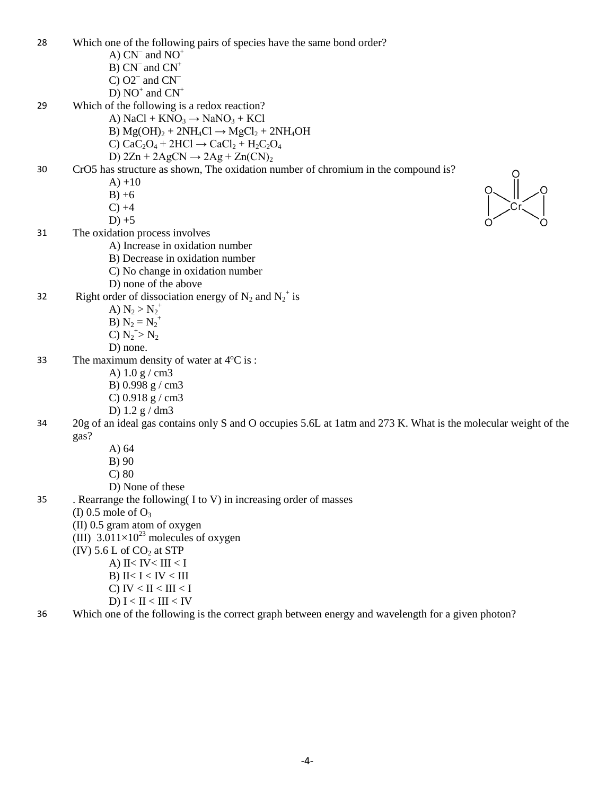| 28 | Which one of the following pairs of species have the same bond order?                                          |
|----|----------------------------------------------------------------------------------------------------------------|
|    | A) $CN^-$ and $NO^+$                                                                                           |
|    | $B) CN-$ and $CN+$                                                                                             |
|    | C) $O2^-$ and $CN^-$                                                                                           |
|    | D) $NO^+$ and $CN^+$                                                                                           |
| 29 | Which of the following is a redox reaction?                                                                    |
|    | A) $NaCl + KNO3 \rightarrow NaNO3 + KCl$                                                                       |
|    | B) $Mg(OH)2 + 2NH4Cl \rightarrow MgCl2 + 2NH4OH$                                                               |
|    | C) $CaC_2O_4 + 2HCl \rightarrow CaCl_2 + H_2C_2O_4$                                                            |
|    | D) $2Zn + 2AgCN \rightarrow 2Ag + Zn(CN)2$                                                                     |
| 30 | CrO5 has structure as shown, The oxidation number of chromium in the compound is?                              |
|    | $A) + 10$                                                                                                      |
|    | $B) + 6$                                                                                                       |
|    | $C) +4$                                                                                                        |
|    | $D$ ) +5                                                                                                       |
| 31 | The oxidation process involves                                                                                 |
|    | A) Increase in oxidation number                                                                                |
|    | B) Decrease in oxidation number                                                                                |
|    | C) No change in oxidation number                                                                               |
|    | D) none of the above                                                                                           |
| 32 | Right order of dissociation energy of $N_2$ and $N_2^+$ is                                                     |
|    | A) $N_2 > N_2^+$                                                                                               |
|    | <b>B</b> ) $N_2 = N_2^+$                                                                                       |
|    | C) $N_2^{\rightarrow} N_2$                                                                                     |
|    | D) none.                                                                                                       |
| 33 | The maximum density of water at $4^{\circ}C$ is:                                                               |
|    | A) $1.0 g/cm3$                                                                                                 |
|    | B) 0.998 g / cm3                                                                                               |
|    | C) $0.918$ g / cm3                                                                                             |
|    | D) $1.2 g/dm3$                                                                                                 |
| 34 | 20g of an ideal gas contains only S and O occupies 5.6L at 1atm and 273 K. What is the molecular weight of the |
|    | gas?                                                                                                           |
|    | A) $64$                                                                                                        |
|    | B) 90                                                                                                          |
|    | $C$ ) 80                                                                                                       |
|    | D) None of these                                                                                               |
| 35 | . Rearrange the following $(I \text{ to } V)$ in increasing order of masses                                    |
|    | (I) 0.5 mole of $O_3$                                                                                          |
|    | (II) 0.5 gram atom of oxygen                                                                                   |
|    | (III) $3.011 \times 10^{23}$ molecules of oxygen                                                               |
|    | (IV) $5.6$ L of $CO2$ at STP                                                                                   |
|    | A) II< IV< III < I                                                                                             |
|    | B) II< $I < IV < III$                                                                                          |
|    | C) IV < II < III < I                                                                                           |
|    | D) $I < II < III < IV$                                                                                         |
|    |                                                                                                                |

36 Which one of the following is the correct graph between energy and wavelength for a given photon?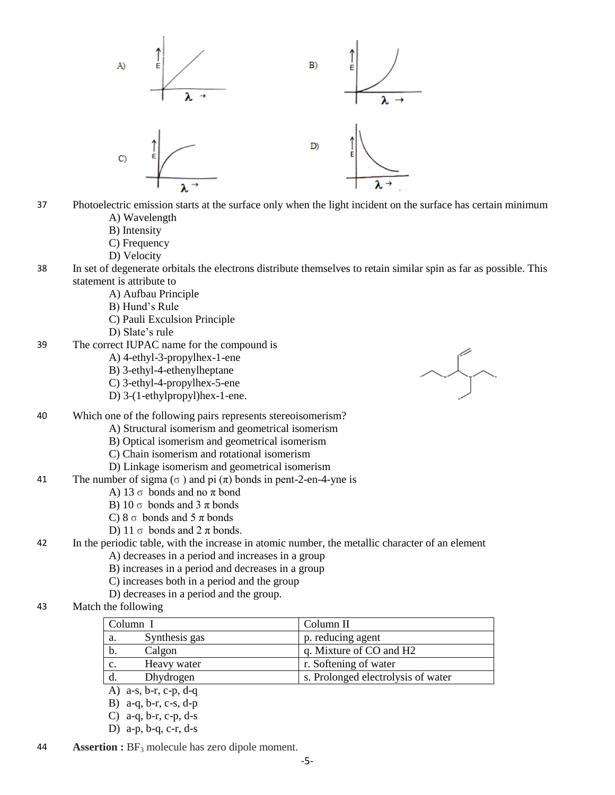

- 37 Photoelectric emission starts at the surface only when the light incident on the surface has certain minimum A) Wavelength
	- B) Intensity
	- C) Frequency
	- D) Velocity
- 38 In set of degenerate orbitals the electrons distribute themselves to retain similar spin as far as possible. This statement is attribute to
	- A) Aufbau Principle
	- B) Hund's Rule
	- C) Pauli Exculsion Principle
	- D) Slate's rule
- 39 The correct IUPAC name for the compound is
	- A) 4-ethyl-3-propylhex-1-ene
	- B) 3-ethyl-4-ethenylheptane
	- C) 3-ethyl-4-propylhex-5-ene
	- D) 3-(1-ethylpropyl)hex-1-ene.



- 40 Which one of the following pairs represents stereoisomerism?
	- A) Structural isomerism and geometrical isomerism
	- B) Optical isomerism and geometrical isomerism
	- C) Chain isomerism and rotational isomerism
	- D) Linkage isomerism and geometrical isomerism
- 41 The number of sigma ( $\sigma$ ) and pi ( $\pi$ ) bonds in pent-2-en-4-yne is
	- A) 13  $\sigma$  bonds and no  $\pi$  bond
	- B) 10  $\sigma$  bonds and 3  $\pi$  bonds
	- C)  $8 \sigma$  bonds and  $5 \pi$  bonds
	- D) 11  $\sigma$  bonds and 2  $\pi$  bonds.

## 42 In the periodic table, with the increase in atomic number, the metallic character of an element

A) decreases in a period and increases in a group

- B) increases in a period and decreases in a group
- C) increases both in a period and the group
- D) decreases in a period and the group.
- 43 Match the following

|                | Column I                      | Column II                          |
|----------------|-------------------------------|------------------------------------|
| а.             | Synthesis gas                 | p. reducing agent                  |
| b.             | Calgon                        | q. Mixture of CO and H2            |
| $\mathbf{c}$ . | Heavy water                   | r. Softening of water              |
| d.             | Dhydrogen                     | s. Prolonged electrolysis of water |
|                | $a-s$ , $b-r$ , $c-p$ , $d-q$ |                                    |

- B) a-q, b-r, c-s, d-p
- C) a-q, b-r, c-p, d-s
- 
- D) a-p, b-q, c-r, d-s
- 44 **Assertion :** BF<sub>3</sub> molecule has zero dipole moment.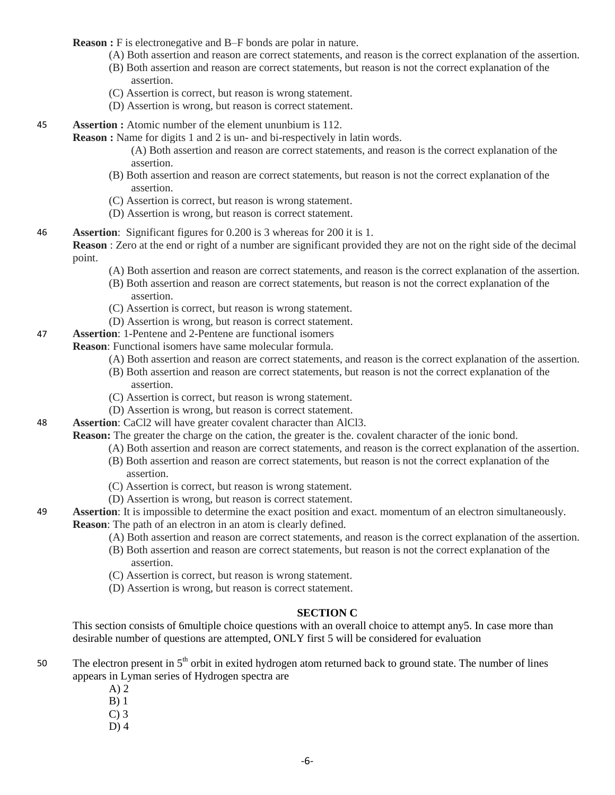**Reason :** F is electronegative and B–F bonds are polar in nature.

- (A) Both assertion and reason are correct statements, and reason is the correct explanation of the assertion.
- (B) Both assertion and reason are correct statements, but reason is not the correct explanation of the assertion.
- (C) Assertion is correct, but reason is wrong statement.
- (D) Assertion is wrong, but reason is correct statement.
- 45 **Assertion :** Atomic number of the element ununbium is 112.

**Reason :** Name for digits 1 and 2 is un- and bi-respectively in latin words.

(A) Both assertion and reason are correct statements, and reason is the correct explanation of the assertion.

- (B) Both assertion and reason are correct statements, but reason is not the correct explanation of the assertion.
- (C) Assertion is correct, but reason is wrong statement.
- (D) Assertion is wrong, but reason is correct statement.
- 46 **Assertion**: Significant figures for 0.200 is 3 whereas for 200 it is 1.

**Reason** : Zero at the end or right of a number are significant provided they are not on the right side of the decimal point.

- (A) Both assertion and reason are correct statements, and reason is the correct explanation of the assertion.
- (B) Both assertion and reason are correct statements, but reason is not the correct explanation of the assertion.
- (C) Assertion is correct, but reason is wrong statement.
- (D) Assertion is wrong, but reason is correct statement.
- 47 **Assertion**: 1-Pentene and 2-Pentene are functional isomers

**Reason**: Functional isomers have same molecular formula.

- (A) Both assertion and reason are correct statements, and reason is the correct explanation of the assertion.
- (B) Both assertion and reason are correct statements, but reason is not the correct explanation of the assertion.
- (C) Assertion is correct, but reason is wrong statement.
- (D) Assertion is wrong, but reason is correct statement.
- 48 **Assertion**: CaCl2 will have greater covalent character than AlCl3.

**Reason:** The greater the charge on the cation, the greater is the. covalent character of the ionic bond.

- (A) Both assertion and reason are correct statements, and reason is the correct explanation of the assertion.
- (B) Both assertion and reason are correct statements, but reason is not the correct explanation of the assertion.
- (C) Assertion is correct, but reason is wrong statement.
- (D) Assertion is wrong, but reason is correct statement.
- 49 **Assertion**: It is impossible to determine the exact position and exact. momentum of an electron simultaneously. **Reason**: The path of an electron in an atom is clearly defined.
	- (A) Both assertion and reason are correct statements, and reason is the correct explanation of the assertion.
	- (B) Both assertion and reason are correct statements, but reason is not the correct explanation of the assertion.
	- (C) Assertion is correct, but reason is wrong statement.
	- (D) Assertion is wrong, but reason is correct statement.

### **SECTION C**

This section consists of 6multiple choice questions with an overall choice to attempt any5. In case more than desirable number of questions are attempted, ONLY first 5 will be considered for evaluation

- 50 The electron present in  $5<sup>th</sup>$  orbit in exited hydrogen atom returned back to ground state. The number of lines appears in Lyman series of Hydrogen spectra are
	- A) 2
	- B) 1
	- $C<sub>0</sub>$  3
	- $D$ ) 4